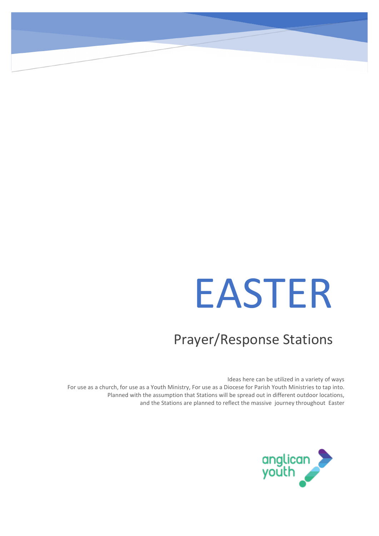# EASTER

### Prayer/Response Stations

Ideas here can be utilized in a variety of ways For use as a church, for use as a Youth Ministry, For use as a Diocese for Parish Youth Ministries to tap into. Planned with the assumption that Stations will be spread out in different outdoor locations, and the Stations are planned to reflect the massive journey throughout Easter

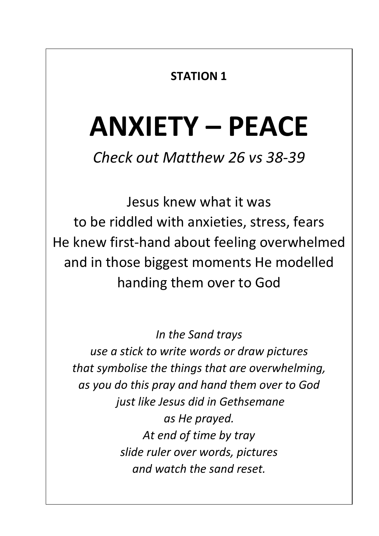### **STATION 1**

### **ANXIETY – PEACE**

*Check out Matthew 26 vs 38-39*

Jesus knew what it was to be riddled with anxieties, stress, fears He knew first-hand about feeling overwhelmed and in those biggest moments He modelled handing them over to God

*In the Sand trays use a stick to write words or draw pictures that symbolise the things that are overwhelming, as you do this pray and hand them over to God just like Jesus did in Gethsemane as He prayed. At end of time by tray slide ruler over words, pictures and watch the sand reset.*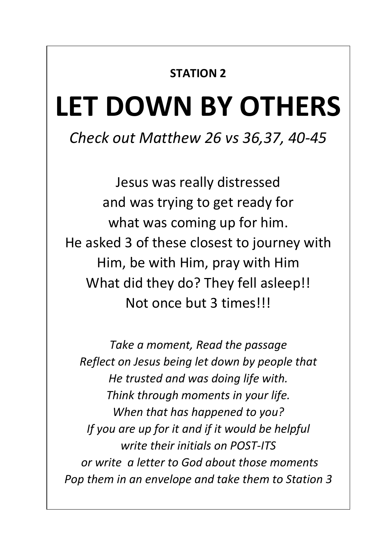#### **STATION 2**

### **LET DOWN BY OTHERS**

### *Check out Matthew 26 vs 36,37, 40-45*

Jesus was really distressed and was trying to get ready for what was coming up for him. He asked 3 of these closest to journey with Him, be with Him, pray with Him What did they do? They fell asleep!! Not once but 3 times!!!

*Take a moment, Read the passage Reflect on Jesus being let down by people that He trusted and was doing life with. Think through moments in your life. When that has happened to you? If you are up for it and if it would be helpful write their initials on POST-ITS or write a letter to God about those moments Pop them in an envelope and take them to Station 3*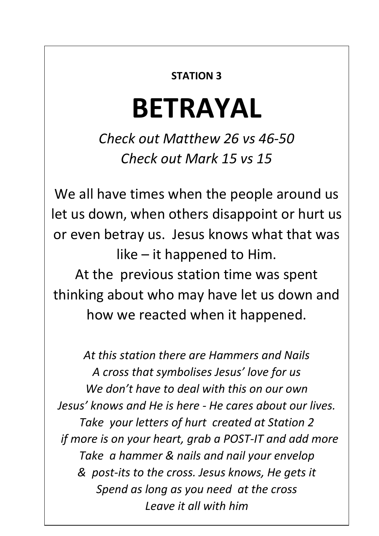#### **STATION 3**

### **BETRAYAL**

*Check out Matthew 26 vs 46-50 Check out Mark 15 vs 15*

We all have times when the people around us let us down, when others disappoint or hurt us or even betray us. Jesus knows what that was like – it happened to Him.

At the previous station time was spent thinking about who may have let us down and how we reacted when it happened.

*At this station there are Hammers and Nails A cross that symbolises Jesus' love for us We don't have to deal with this on our own Jesus' knows and He is here - He cares about our lives. Take your letters of hurt created at Station 2 if more is on your heart, grab a POST-IT and add more Take a hammer & nails and nail your envelop & post-its to the cross. Jesus knows, He gets it Spend as long as you need at the cross Leave it all with him*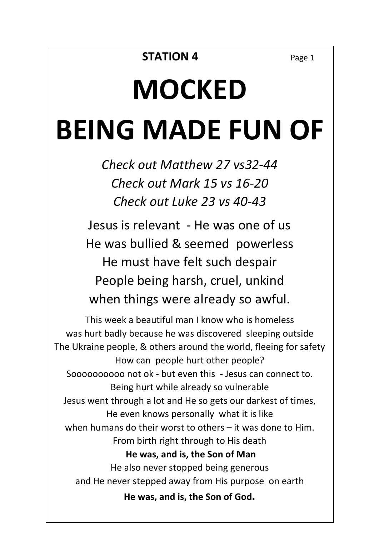# **MOCKED BEING MADE FUN OF**

*Check out Matthew 27 vs32-44 Check out Mark 15 vs 16-20 Check out Luke 23 vs 40-43*

Jesus is relevant - He was one of us He was bullied & seemed powerless He must have felt such despair People being harsh, cruel, unkind when things were already so awful.

This week a beautiful man I know who is homeless was hurt badly because he was discovered sleeping outside The Ukraine people, & others around the world, fleeing for safety How can people hurt other people? Soooooooooo not ok - but even this - Jesus can connect to. Being hurt while already so vulnerable Jesus went through a lot and He so gets our darkest of times, He even knows personally what it is like when humans do their worst to others – it was done to Him. From birth right through to His death **He was, and is, the Son of Man** He also never stopped being generous and He never stepped away from His purpose on earth **He was, and is, the Son of God.**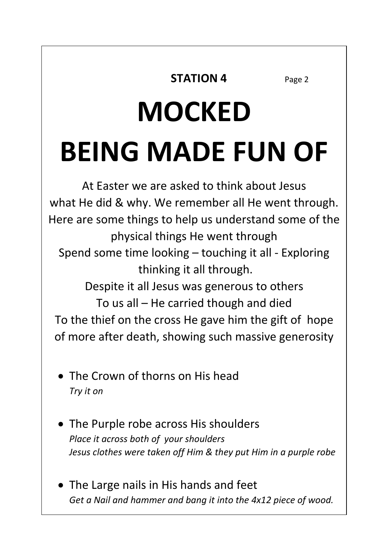#### **STATION 4** Page 2

# **MOCKED BEING MADE FUN OF**

At Easter we are asked to think about Jesus what He did & why. We remember all He went through. Here are some things to help us understand some of the physical things He went through Spend some time looking – touching it all - Exploring thinking it all through. Despite it all Jesus was generous to others To us all – He carried though and died To the thief on the cross He gave him the gift of hope of more after death, showing such massive generosity

- The Crown of thorns on His head *Try it on*
- The Purple robe across His shoulders *Place it across both of your shoulders Jesus clothes were taken off Him & they put Him in a purple robe*
- The Large nails in His hands and feet *Get a Nail and hammer and bang it into the 4x12 piece of wood.*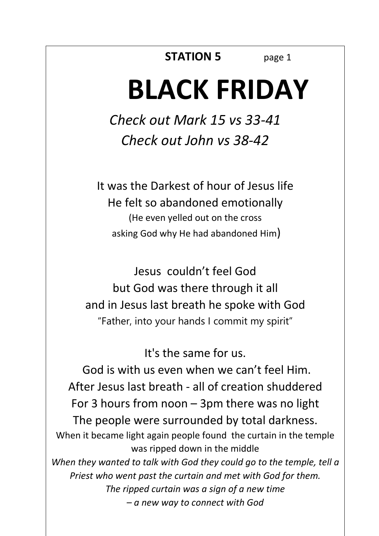#### **STATION 5** page 1

### **BLACK FRIDAY**

*Check out Mark 15 vs 33-41 Check out John vs 38-42*

It was the Darkest of hour of Jesus life He felt so abandoned emotionally (He even yelled out on the cross asking God why He had abandoned Him)

Jesus couldn't feel God but God was there through it all and in Jesus last breath he spoke with God "Father, into your hands I commit my spirit"

#### It's the same for us.

God is with us even when we can't feel Him. After Jesus last breath - all of creation shuddered For 3 hours from noon – 3pm there was no light The people were surrounded by total darkness. When it became light again people found the curtain in the temple was ripped down in the middle *When they wanted to talk with God they could go to the temple, tell a Priest who went past the curtain and met with God for them. The ripped curtain was a sign of a new time – a new way to connect with God*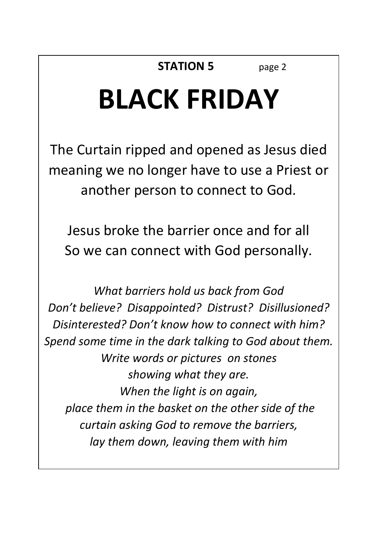### **BLACK FRIDAY**

The Curtain ripped and opened as Jesus died meaning we no longer have to use a Priest or another person to connect to God.

Jesus broke the barrier once and for all So we can connect with God personally.

*What barriers hold us back from God Don't believe? Disappointed? Distrust? Disillusioned? Disinterested? Don't know how to connect with him? Spend some time in the dark talking to God about them. Write words or pictures on stones showing what they are. When the light is on again, place them in the basket on the other side of the curtain asking God to remove the barriers, lay them down, leaving them with him*